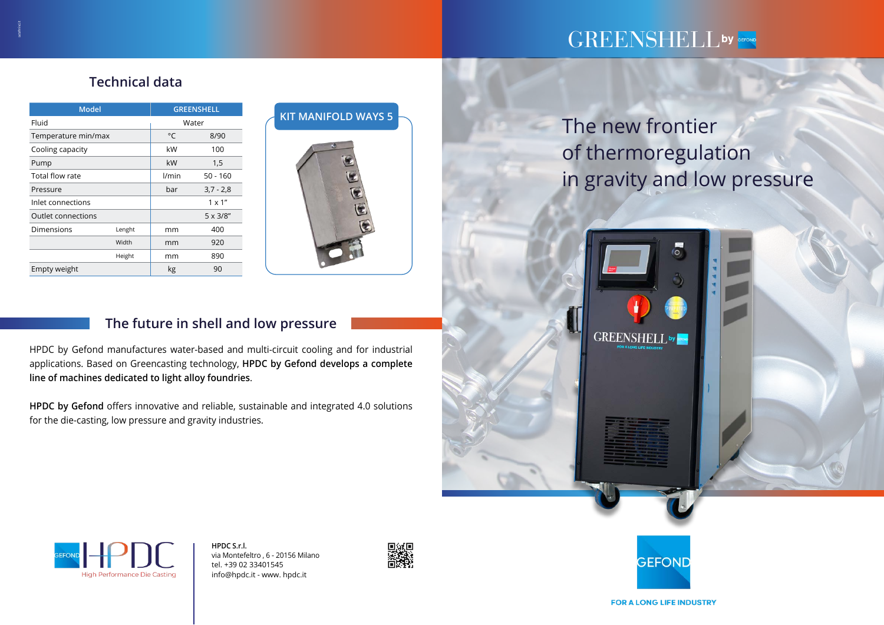The new frontier of thermoregulation



## gefond Srl The future in shell and low pressure

# in gravity and low pressure





Via G. Galilei, 2

35028 Piove di Sacco (PD) - Italy



applications. Based on Greencasting technology, **HPDC by Gefond develops a complete**  $\blacksquare$ HDDC by Cofond manufactures water based and multicircuit sooling HPDC by Gefond manufactures water-based and multi-circuit cooling and for industrial **line of machines dedicated to light alloy foundries**.

**Peso a vuoto** kg 90

| <b>Model</b>              |        | <b>GREENSHELL</b> |                  |
|---------------------------|--------|-------------------|------------------|
| Fluid                     |        | Water             |                  |
| Temperature min/max       |        | °C                | 8/90             |
| Cooling capacity          |        | kW                | 100              |
| Pump                      |        | kW                | 1,5              |
| Total flow rate           |        | l/min             | $50 - 160$       |
| Pressure                  |        | bar               | $3,7 - 2,8$      |
| Inlet connections         |        |                   | $1 \times 1$ "   |
| <b>Outlet connections</b> |        |                   | $5 \times 3/8''$ |
| Dimensions                | Lenght | mm                | 400              |
|                           | Width  | mm                | 920              |
|                           | Height | mm                | 890              |
| Empty weight              |        | kg                | 90               |

**HPDC by Gefond** offers innovative and reliable, sustainable and integrated 4.0 solutions for the die-casting, low pressure and gravity industries.



# GREENSHELL by GEFOND

# **Technical data**

**HPDC S.r.l.**  via Montefeltro , 6 - 20156 Milano tel. +39 02 33401545 info@hpdc.it - www. hpdc.it